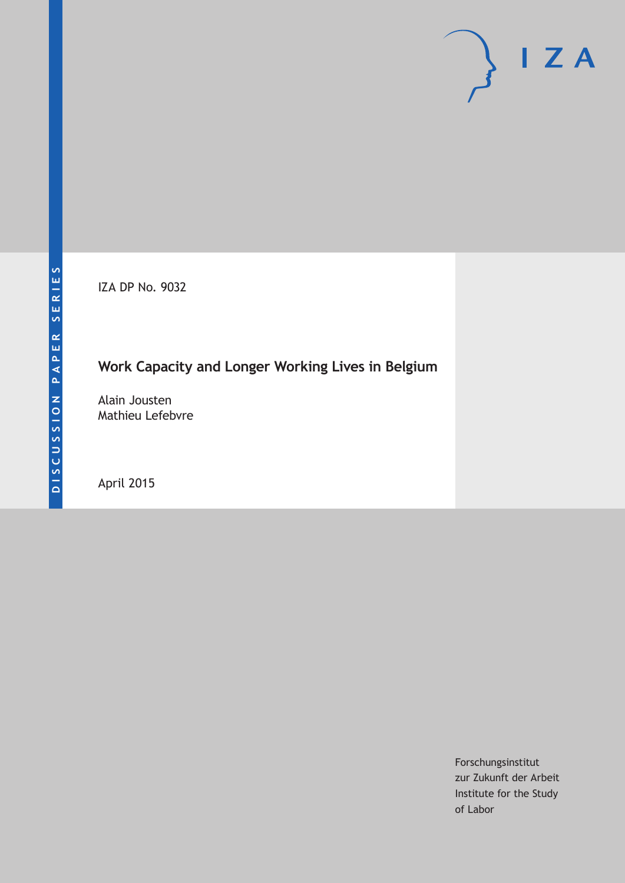IZA DP No. 9032

# **Work Capacity and Longer Working Lives in Belgium**

Alain Jousten Mathieu Lefebvre

April 2015

Forschungsinstitut zur Zukunft der Arbeit Institute for the Study of Labor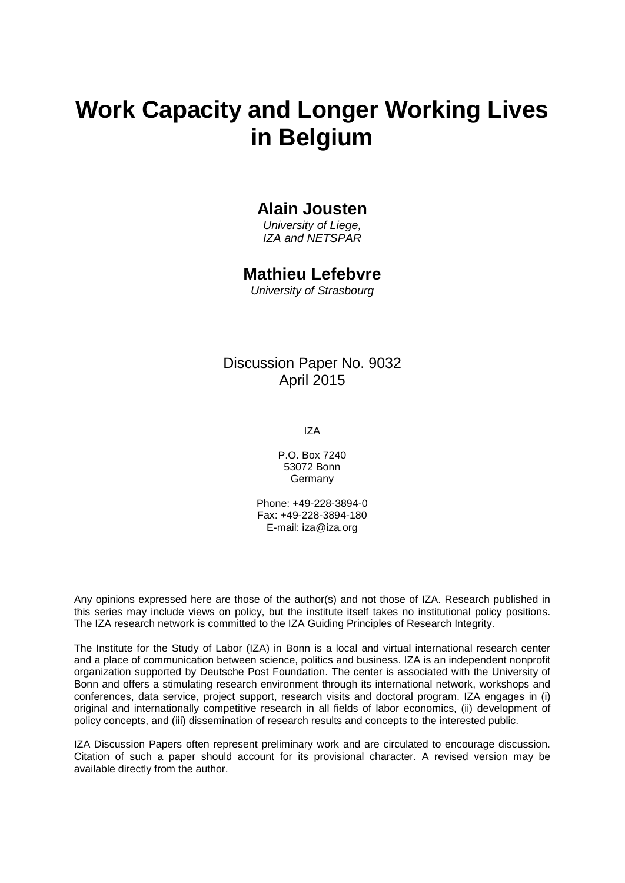# **Work Capacity and Longer Working Lives in Belgium**

### **Alain Jousten**

*University of Liege, IZA and NETSPAR*

### **Mathieu Lefebvre**

*University of Strasbourg*

# Discussion Paper No. 9032 April 2015

IZA

P.O. Box 7240 53072 Bonn Germany

Phone: +49-228-3894-0 Fax: +49-228-3894-180 E-mail: iza@iza.org

Any opinions expressed here are those of the author(s) and not those of IZA. Research published in this series may include views on policy, but the institute itself takes no institutional policy positions. The IZA research network is committed to the IZA Guiding Principles of Research Integrity.

<span id="page-1-0"></span>The Institute for the Study of Labor (IZA) in Bonn is a local and virtual international research center and a place of communication between science, politics and business. IZA is an independent nonprofit organization supported by Deutsche Post Foundation. The center is associated with the University of Bonn and offers a stimulating research environment through its international network, workshops and conferences, data service, project support, research visits and doctoral program. IZA engages in (i) original and internationally competitive research in all fields of labor economics, (ii) development of policy concepts, and (iii) dissemination of research results and concepts to the interested public.

IZA Discussion Papers often represent preliminary work and are circulated to encourage discussion. Citation of such a paper should account for its provisional character. A revised version may be available directly from the author.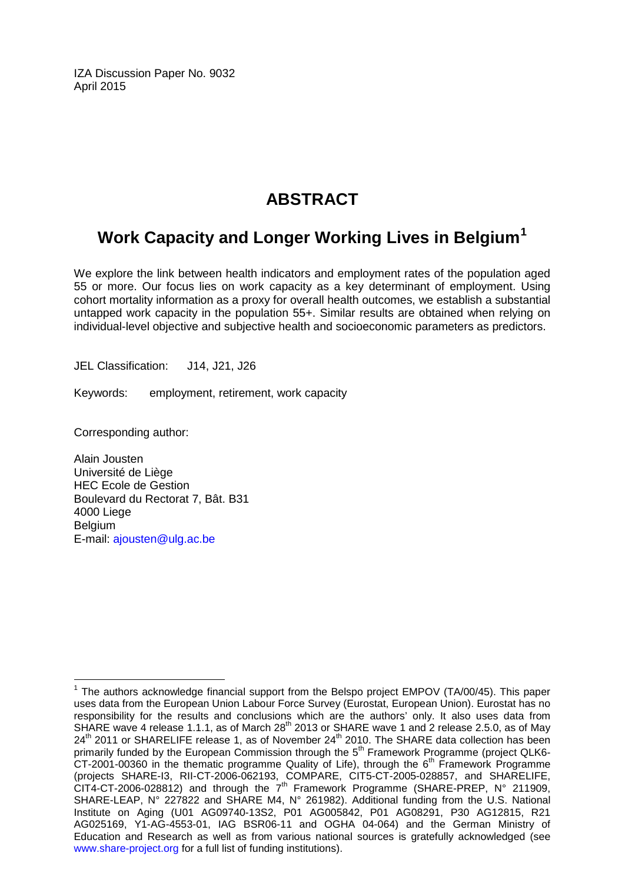IZA Discussion Paper No. 9032 April 2015

# **ABSTRACT**

# **Work Capacity and Longer Working Lives in Belgium[1](#page-1-0)**

We explore the link between health indicators and employment rates of the population aged 55 or more. Our focus lies on work capacity as a key determinant of employment. Using cohort mortality information as a proxy for overall health outcomes, we establish a substantial untapped work capacity in the population 55+. Similar results are obtained when relying on individual-level objective and subjective health and socioeconomic parameters as predictors.

JEL Classification: J14, J21, J26

Keywords: employment, retirement, work capacity

Corresponding author:

Alain Jousten Université de Liège HEC Ecole de Gestion Boulevard du Rectorat 7, Bât. B31 4000 Liege Belgium E-mail: [ajousten@ulg.ac.be](mailto:ajousten@ulg.ac.be)

<sup>&</sup>lt;sup>1</sup> The authors acknowledge financial support from the Belspo project EMPOV (TA/00/45). This paper uses data from the European Union Labour Force Survey (Eurostat, European Union). Eurostat has no responsibility for the results and conclusions which are the authors' only. It also uses data from SHARE wave 4 release 1.1.1, as of March 28<sup>th</sup> 2013 or SHARE wave 1 and 2 release 2.5.0, as of May 24<sup>th</sup> 2011 or SHARELIFE release 1, as of November 24<sup>th</sup> 2010. The SHARE data collection has been primarily funded by the European Commission through the 5<sup>th</sup> Framework Programme (project QLK6- $CT-2001-00360$  in the thematic programme Quality of Life), through the  $6<sup>th</sup>$  Framework Programme (projects SHARE-I3, RII-CT-2006-062193, COMPARE, CIT5-CT-2005-028857, and SHARELIFE, CIT4-CT-2006-028812) and through the  $7<sup>th</sup>$  Framework Programme (SHARE-PREP, N° 211909, SHARE-LEAP, N° 227822 and SHARE M4, N° 261982). Additional funding from the U.S. National Institute on Aging (U01 AG09740-13S2, P01 AG005842, P01 AG08291, P30 AG12815, R21 AG025169, Y1-AG-4553-01, IAG BSR06-11 and OGHA 04-064) and the German Ministry of Education and Research as well as from various national sources is gratefully acknowledged (see [www.share-project.org](http://www.share-project.org/) for a full list of funding institutions).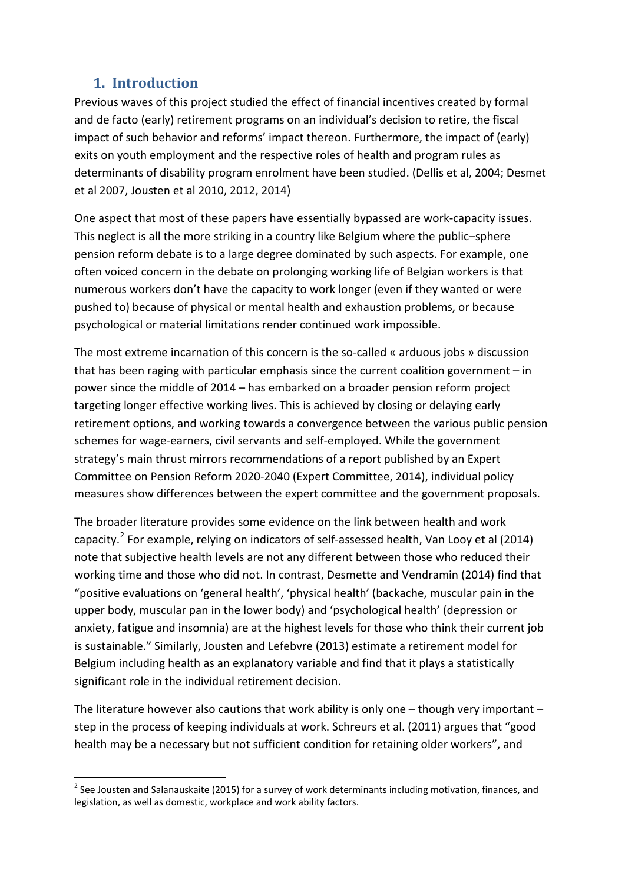### **1. Introduction**

Previous waves of this project studied the effect of financial incentives created by formal and de facto (early) retirement programs on an individual's decision to retire, the fiscal impact of such behavior and reforms' impact thereon. Furthermore, the impact of (early) exits on youth employment and the respective roles of health and program rules as determinants of disability program enrolment have been studied. (Dellis et al, 2004; Desmet et al 2007, Jousten et al 2010, 2012, 2014)

One aspect that most of these papers have essentially bypassed are work-capacity issues. This neglect is all the more striking in a country like Belgium where the public–sphere pension reform debate is to a large degree dominated by such aspects. For example, one often voiced concern in the debate on prolonging working life of Belgian workers is that numerous workers don't have the capacity to work longer (even if they wanted or were pushed to) because of physical or mental health and exhaustion problems, or because psychological or material limitations render continued work impossible.

The most extreme incarnation of this concern is the so-called « arduous jobs » discussion that has been raging with particular emphasis since the current coalition government – in power since the middle of 2014 – has embarked on a broader pension reform project targeting longer effective working lives. This is achieved by closing or delaying early retirement options, and working towards a convergence between the various public pension schemes for wage-earners, civil servants and self-employed. While the government strategy's main thrust mirrors recommendations of a report published by an Expert Committee on Pension Reform 2020-2040 (Expert Committee, 2014), individual policy measures show differences between the expert committee and the government proposals.

The broader literature provides some evidence on the link between health and work capacity.<sup>2</sup> For example, relying on indicators of self-assessed health, Van Looy et al (2014) note that subjective health levels are not any different between those who reduced their working time and those who did not. In contrast, Desmette and Vendramin (2014) find that "positive evaluations on 'general health', 'physical health' (backache, muscular pain in the upper body, muscular pan in the lower body) and 'psychological health' (depression or anxiety, fatigue and insomnia) are at the highest levels for those who think their current job is sustainable." Similarly, Jousten and Lefebvre (2013) estimate a retirement model for Belgium including health as an explanatory variable and find that it plays a statistically significant role in the individual retirement decision.

The literature however also cautions that work ability is only one – though very important – step in the process of keeping individuals at work. Schreurs et al. (2011) argues that "good health may be a necessary but not sufficient condition for retaining older workers", and

<span id="page-3-0"></span><sup>&</sup>lt;sup>2</sup> See Jousten and Salanauskaite (2015) for a survey of work determinants including motivation, finances, and legislation, as well as domestic, workplace and work ability factors.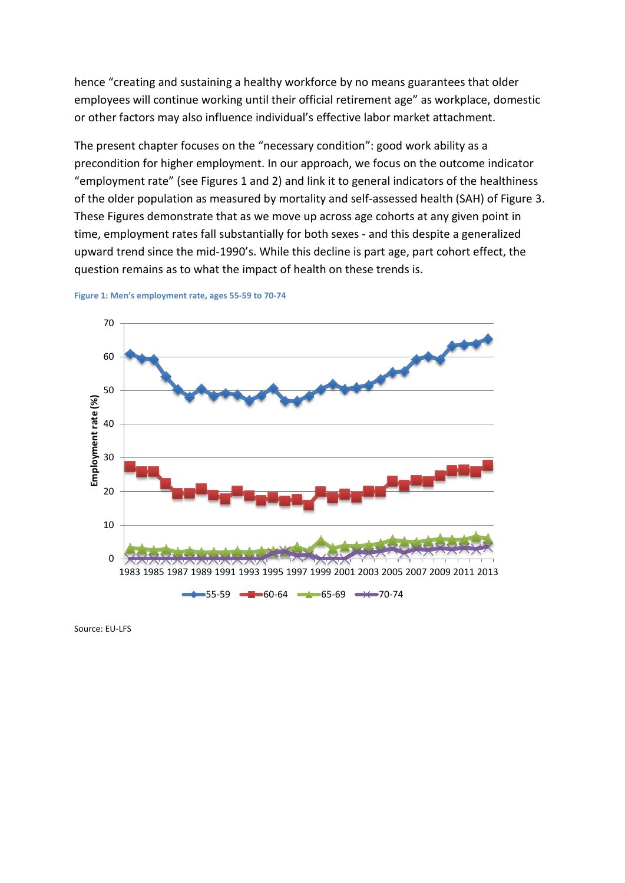hence "creating and sustaining a healthy workforce by no means guarantees that older employees will continue working until their official retirement age" as workplace, domestic or other factors may also influence individual's effective labor market attachment.

The present chapter focuses on the "necessary condition": good work ability as a precondition for higher employment. In our approach, we focus on the outcome indicator "employment rate" (see Figures 1 and 2) and link it to general indicators of the healthiness of the older population as measured by mortality and self-assessed health (SAH) of Figure 3. These Figures demonstrate that as we move up across age cohorts at any given point in time, employment rates fall substantially for both sexes - and this despite a generalized upward trend since the mid-1990's. While this decline is part age, part cohort effect, the question remains as to what the impact of health on these trends is.



**Figure 1: Men's employment rate, ages 55-59 to 70-74**

Source: EU-LFS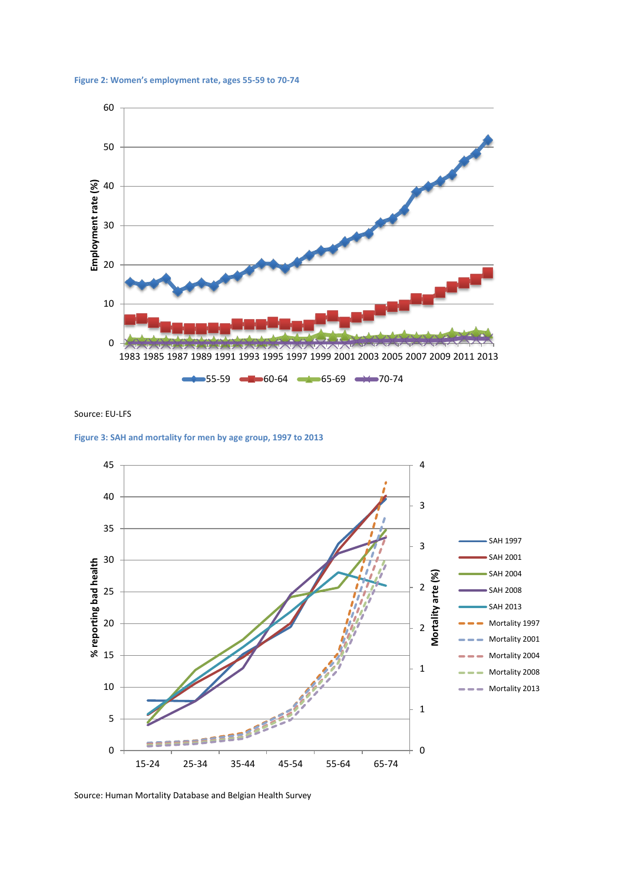



Source: EU-LFS

**Figure 3: SAH and mortality for men by age group, 1997 to 2013**



Source: Human Mortality Database and Belgian Health Survey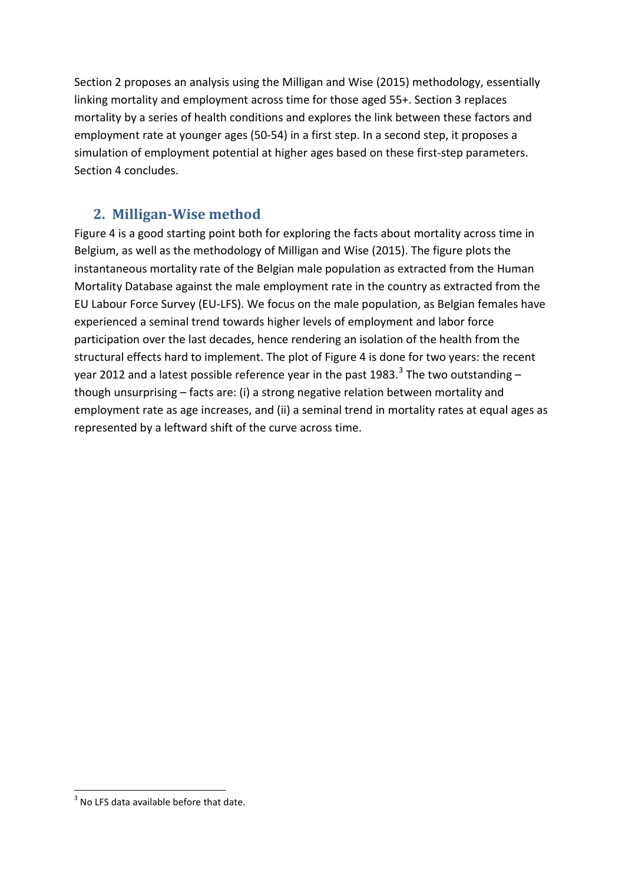Section 2 proposes an analysis using the Milligan and Wise (2015) methodology, essentially linking mortality and employment across time for those aged 55+. Section 3 replaces mortality by a series of health conditions and explores the link between these factors and employment rate at younger ages (50-54) in a first step. In a second step, it proposes a simulation of employment potential at higher ages based on these first-step parameters. Section 4 concludes.

## **2. Milligan-Wise method**

Figure 4 is a good starting point both for exploring the facts about mortality across time in Belgium, as well as the methodology of Milligan and Wise (2015). The figure plots the instantaneous mortality rate of the Belgian male population as extracted from the Human Mortality Database against the male employment rate in the country as extracted from the EU Labour Force Survey (EU-LFS). We focus on the male population, as Belgian females have experienced a seminal trend towards higher levels of employment and labor force participation over the last decades, hence rendering an isolation of the health from the structural effects hard to implement. The plot of Figure 4 is done for two years: the recent year 2012 and a latest possible reference year in the past 198[3](#page-3-0).<sup>3</sup> The two outstanding  $$ though unsurprising – facts are: (i) a strong negative relation between mortality and employment rate as age increases, and (ii) a seminal trend in mortality rates at equal ages as represented by a leftward shift of the curve across time.

<span id="page-6-0"></span> $3$  No LFS data available before that date.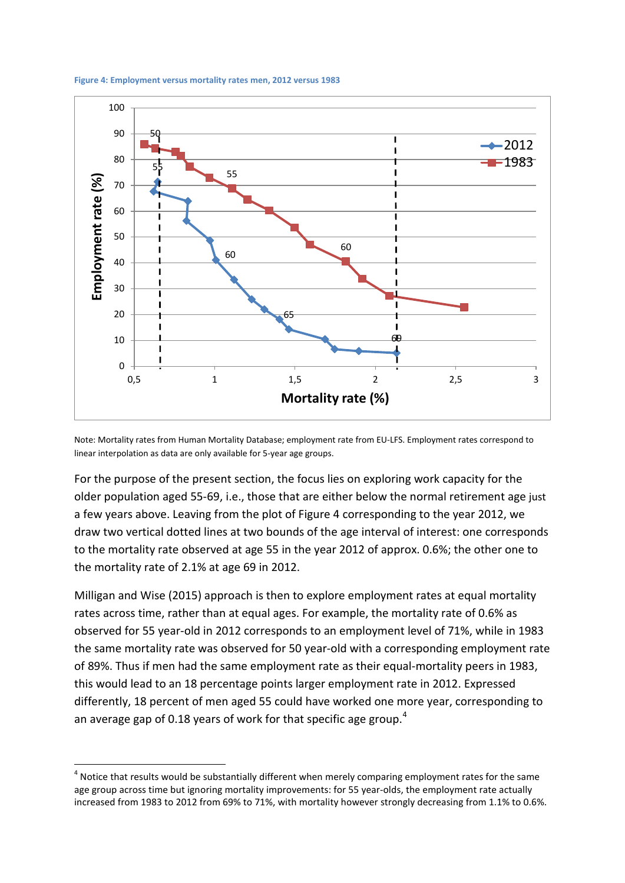



Note: Mortality rates from Human Mortality Database; employment rate from EU-LFS. Employment rates correspond to linear interpolation as data are only available for 5-year age groups.

For the purpose of the present section, the focus lies on exploring work capacity for the older population aged 55-69, i.e., those that are either below the normal retirement age just a few years above. Leaving from the plot of Figure 4 corresponding to the year 2012, we draw two vertical dotted lines at two bounds of the age interval of interest: one corresponds to the mortality rate observed at age 55 in the year 2012 of approx. 0.6%; the other one to the mortality rate of 2.1% at age 69 in 2012.

Milligan and Wise (2015) approach is then to explore employment rates at equal mortality rates across time, rather than at equal ages. For example, the mortality rate of 0.6% as observed for 55 year-old in 2012 corresponds to an employment level of 71%, while in 1983 the same mortality rate was observed for 50 year-old with a corresponding employment rate of 89%. Thus if men had the same employment rate as their equal-mortality peers in 1983, this would lead to an 18 percentage points larger employment rate in 2012. Expressed differently, 18 percent of men aged 55 could have worked one more year, corresponding to an average gap of 0.18 years of work for that specific age group.<sup>[4](#page-6-0)</sup>

<span id="page-7-0"></span> $4$  Notice that results would be substantially different when merely comparing employment rates for the same age group across time but ignoring mortality improvements: for 55 year-olds, the employment rate actually increased from 1983 to 2012 from 69% to 71%, with mortality however strongly decreasing from 1.1% to 0.6%.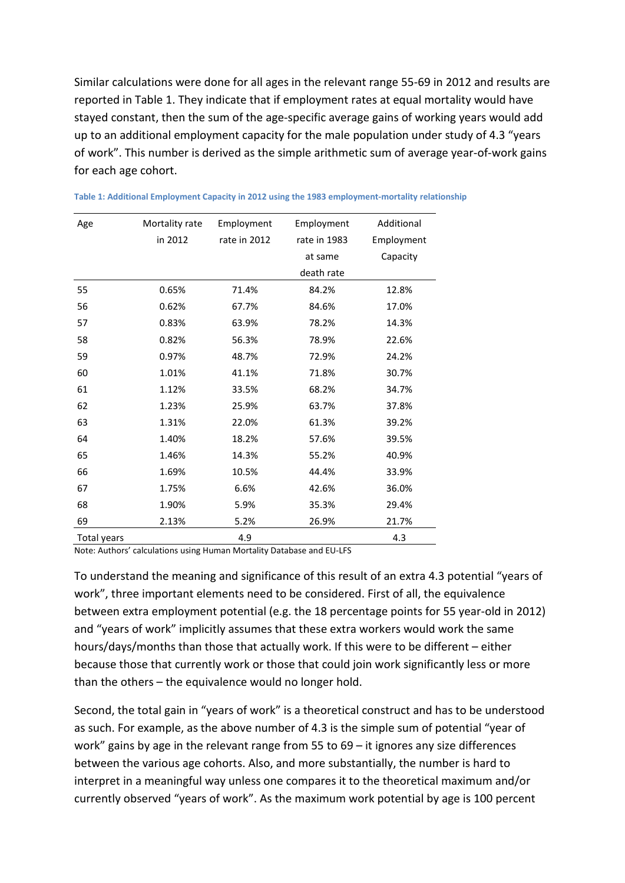Similar calculations were done for all ages in the relevant range 55-69 in 2012 and results are reported in Table 1. They indicate that if employment rates at equal mortality would have stayed constant, then the sum of the age-specific average gains of working years would add up to an additional employment capacity for the male population under study of 4.3 "years of work". This number is derived as the simple arithmetic sum of average year-of-work gains for each age cohort.

| Age         | Mortality rate<br>in 2012 | Employment<br>rate in 2012 | Employment<br>rate in 1983 | Additional<br>Employment |
|-------------|---------------------------|----------------------------|----------------------------|--------------------------|
|             |                           |                            | at same                    | Capacity                 |
|             |                           |                            | death rate                 |                          |
| 55          | 0.65%                     | 71.4%                      | 84.2%                      | 12.8%                    |
| 56          | 0.62%                     | 67.7%                      | 84.6%                      | 17.0%                    |
| 57          | 0.83%                     | 63.9%                      | 78.2%                      | 14.3%                    |
| 58          | 0.82%                     | 56.3%                      | 78.9%                      | 22.6%                    |
| 59          | 0.97%                     | 48.7%                      | 72.9%                      | 24.2%                    |
| 60          | 1.01%                     | 41.1%                      | 71.8%                      | 30.7%                    |
| 61          | 1.12%                     | 33.5%                      | 68.2%                      | 34.7%                    |
| 62          | 1.23%                     | 25.9%                      | 63.7%                      | 37.8%                    |
| 63          | 1.31%                     | 22.0%                      | 61.3%                      | 39.2%                    |
| 64          | 1.40%                     | 18.2%                      | 57.6%                      | 39.5%                    |
| 65          | 1.46%                     | 14.3%                      | 55.2%                      | 40.9%                    |
| 66          | 1.69%                     | 10.5%                      | 44.4%                      | 33.9%                    |
| 67          | 1.75%                     | 6.6%                       | 42.6%                      | 36.0%                    |
| 68          | 1.90%                     | 5.9%                       | 35.3%                      | 29.4%                    |
| 69          | 2.13%                     | 5.2%                       | 26.9%                      | 21.7%                    |
| Total years |                           | 4.9                        |                            | 4.3                      |

| Table 1: Additional Employment Capacity in 2012 using the 1983 employment-mortality relationship |  |  |  |
|--------------------------------------------------------------------------------------------------|--|--|--|
|                                                                                                  |  |  |  |

Note: Authors' calculations using Human Mortality Database and EU-LFS

To understand the meaning and significance of this result of an extra 4.3 potential "years of work", three important elements need to be considered. First of all, the equivalence between extra employment potential (e.g. the 18 percentage points for 55 year-old in 2012) and "years of work" implicitly assumes that these extra workers would work the same hours/days/months than those that actually work. If this were to be different – either because those that currently work or those that could join work significantly less or more than the others – the equivalence would no longer hold.

Second, the total gain in "years of work" is a theoretical construct and has to be understood as such. For example, as the above number of 4.3 is the simple sum of potential "year of work" gains by age in the relevant range from 55 to 69 – it ignores any size differences between the various age cohorts. Also, and more substantially, the number is hard to interpret in a meaningful way unless one compares it to the theoretical maximum and/or currently observed "years of work". As the maximum work potential by age is 100 percent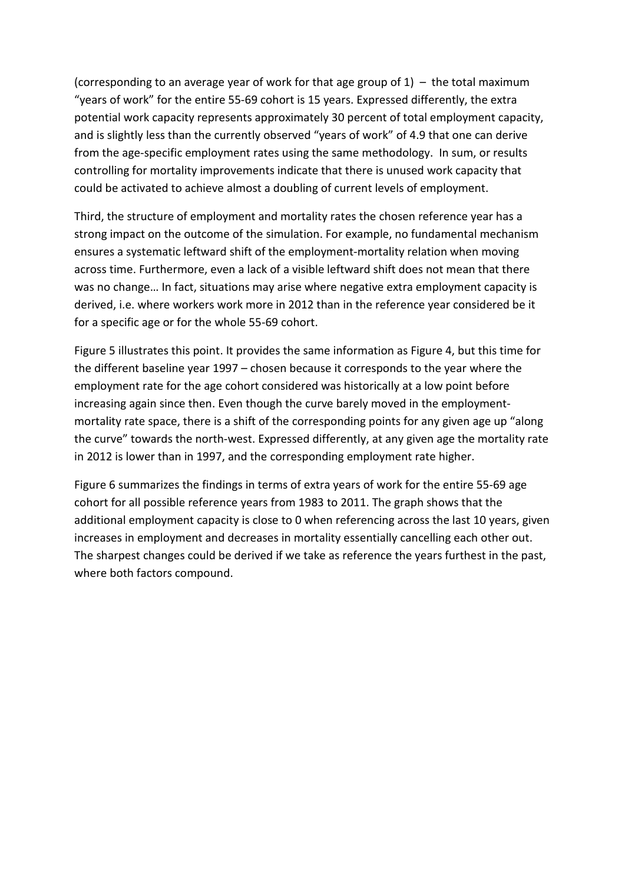(corresponding to an average year of work for that age group of  $1$ ) – the total maximum "years of work" for the entire 55-69 cohort is 15 years. Expressed differently, the extra potential work capacity represents approximately 30 percent of total employment capacity, and is slightly less than the currently observed "years of work" of 4.9 that one can derive from the age-specific employment rates using the same methodology. In sum, or results controlling for mortality improvements indicate that there is unused work capacity that could be activated to achieve almost a doubling of current levels of employment.

Third, the structure of employment and mortality rates the chosen reference year has a strong impact on the outcome of the simulation. For example, no fundamental mechanism ensures a systematic leftward shift of the employment-mortality relation when moving across time. Furthermore, even a lack of a visible leftward shift does not mean that there was no change… In fact, situations may arise where negative extra employment capacity is derived, i.e. where workers work more in 2012 than in the reference year considered be it for a specific age or for the whole 55-69 cohort.

Figure 5 illustrates this point. It provides the same information as Figure 4, but this time for the different baseline year 1997 – chosen because it corresponds to the year where the employment rate for the age cohort considered was historically at a low point before increasing again since then. Even though the curve barely moved in the employmentmortality rate space, there is a shift of the corresponding points for any given age up "along the curve" towards the north-west. Expressed differently, at any given age the mortality rate in 2012 is lower than in 1997, and the corresponding employment rate higher.

Figure 6 summarizes the findings in terms of extra years of work for the entire 55-69 age cohort for all possible reference years from 1983 to 2011. The graph shows that the additional employment capacity is close to 0 when referencing across the last 10 years, given increases in employment and decreases in mortality essentially cancelling each other out. The sharpest changes could be derived if we take as reference the years furthest in the past, where both factors compound.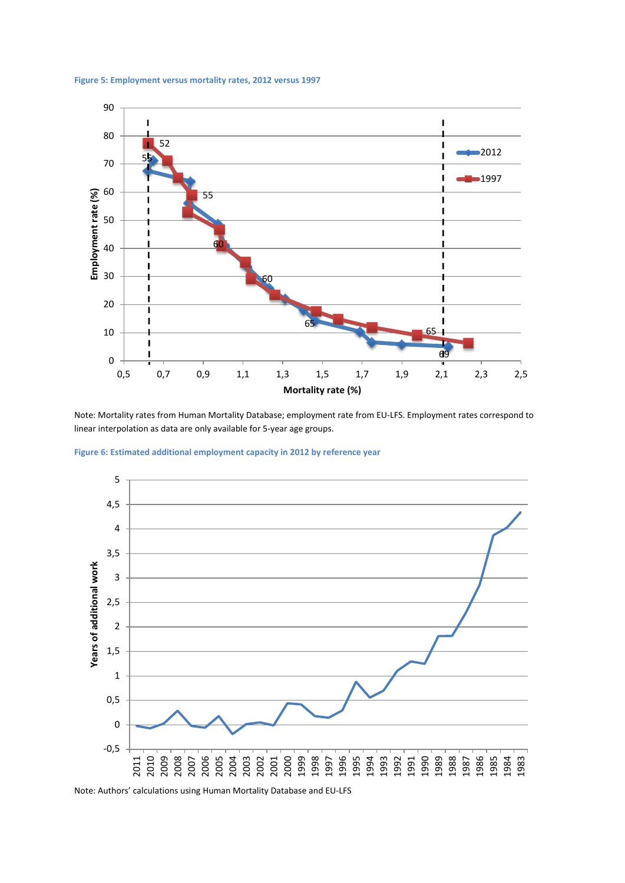



Note: Mortality rates from Human Mortality Database; employment rate from EU-LFS. Employment rates correspond to linear interpolation as data are only available for 5-year age groups.





Note: Authors' calculations using Human Mortality Database and EU-LFS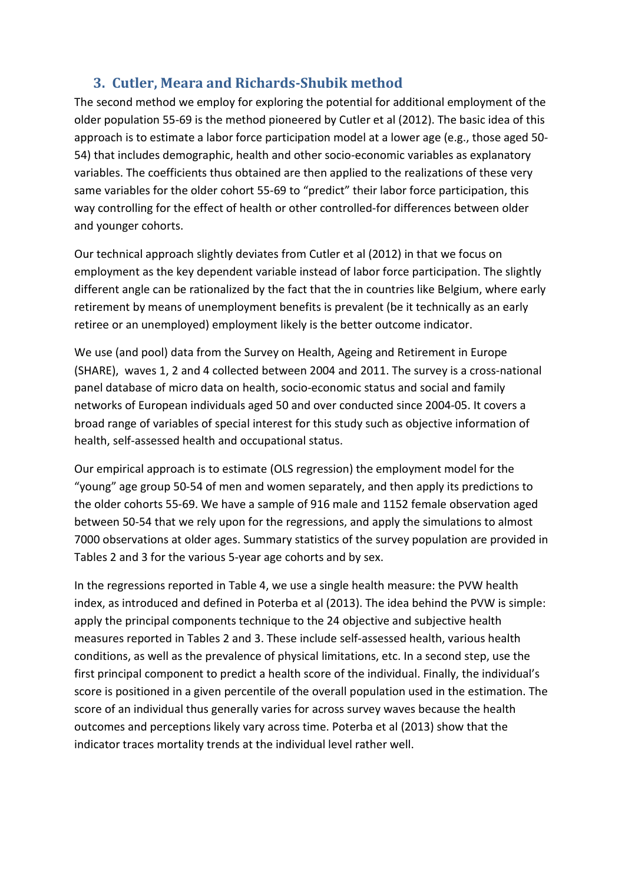# **3. Cutler, Meara and Richards-Shubik method**

The second method we employ for exploring the potential for additional employment of the older population 55-69 is the method pioneered by Cutler et al (2012). The basic idea of this approach is to estimate a labor force participation model at a lower age (e.g., those aged 50- 54) that includes demographic, health and other socio-economic variables as explanatory variables. The coefficients thus obtained are then applied to the realizations of these very same variables for the older cohort 55-69 to "predict" their labor force participation, this way controlling for the effect of health or other controlled-for differences between older and younger cohorts.

Our technical approach slightly deviates from Cutler et al (2012) in that we focus on employment as the key dependent variable instead of labor force participation. The slightly different angle can be rationalized by the fact that the in countries like Belgium, where early retirement by means of unemployment benefits is prevalent (be it technically as an early retiree or an unemployed) employment likely is the better outcome indicator.

We use (and pool) data from the Survey on Health, Ageing and Retirement in Europe (SHARE), waves 1, 2 and 4 collected between 2004 and 2011. The survey is a cross-national panel database of micro data on health, socio-economic status and social and family networks of European individuals aged 50 and over conducted since 2004-05. It covers a broad range of variables of special interest for this study such as objective information of health, self-assessed health and occupational status.

Our empirical approach is to estimate (OLS regression) the employment model for the "young" age group 50-54 of men and women separately, and then apply its predictions to the older cohorts 55-69. We have a sample of 916 male and 1152 female observation aged between 50-54 that we rely upon for the regressions, and apply the simulations to almost 7000 observations at older ages. Summary statistics of the survey population are provided in Tables 2 and 3 for the various 5-year age cohorts and by sex.

In the regressions reported in Table 4, we use a single health measure: the PVW health index, as introduced and defined in Poterba et al (2013). The idea behind the PVW is simple: apply the principal components technique to the 24 objective and subjective health measures reported in Tables 2 and 3. These include self-assessed health, various health conditions, as well as the prevalence of physical limitations, etc. In a second step, use the first principal component to predict a health score of the individual. Finally, the individual's score is positioned in a given percentile of the overall population used in the estimation. The score of an individual thus generally varies for across survey waves because the health outcomes and perceptions likely vary across time. Poterba et al (2013) show that the indicator traces mortality trends at the individual level rather well.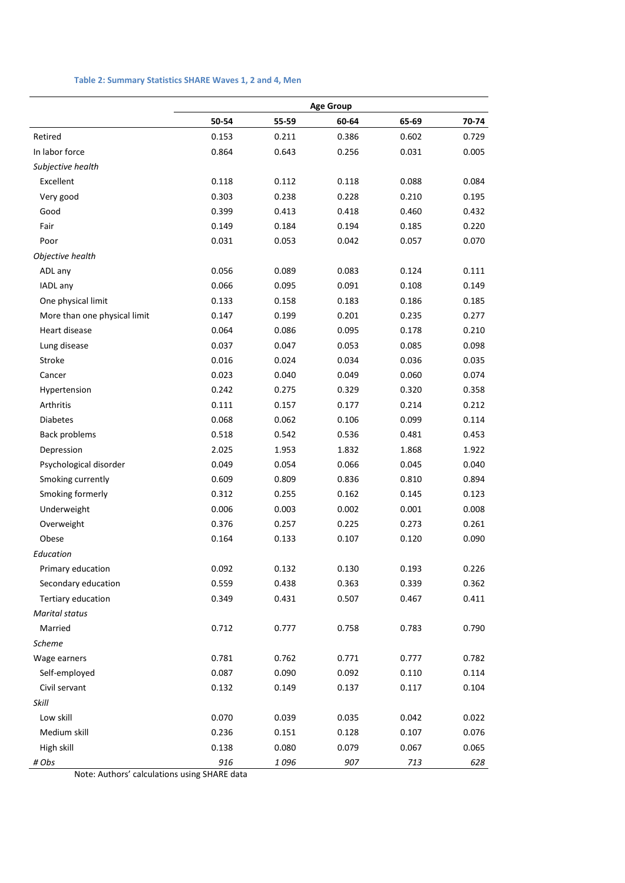#### **Table 2: Summary Statistics SHARE Waves 1, 2 and 4, Men**

|                              |       |       | <b>Age Group</b> |       |       |
|------------------------------|-------|-------|------------------|-------|-------|
|                              | 50-54 | 55-59 | 60-64            | 65-69 | 70-74 |
| Retired                      | 0.153 | 0.211 | 0.386            | 0.602 | 0.729 |
| In labor force               | 0.864 | 0.643 | 0.256            | 0.031 | 0.005 |
| Subjective health            |       |       |                  |       |       |
| Excellent                    | 0.118 | 0.112 | 0.118            | 0.088 | 0.084 |
| Very good                    | 0.303 | 0.238 | 0.228            | 0.210 | 0.195 |
| Good                         | 0.399 | 0.413 | 0.418            | 0.460 | 0.432 |
| Fair                         | 0.149 | 0.184 | 0.194            | 0.185 | 0.220 |
| Poor                         | 0.031 | 0.053 | 0.042            | 0.057 | 0.070 |
| Objective health             |       |       |                  |       |       |
| ADL any                      | 0.056 | 0.089 | 0.083            | 0.124 | 0.111 |
| IADL any                     | 0.066 | 0.095 | 0.091            | 0.108 | 0.149 |
| One physical limit           | 0.133 | 0.158 | 0.183            | 0.186 | 0.185 |
| More than one physical limit | 0.147 | 0.199 | 0.201            | 0.235 | 0.277 |
| Heart disease                | 0.064 | 0.086 | 0.095            | 0.178 | 0.210 |
| Lung disease                 | 0.037 | 0.047 | 0.053            | 0.085 | 0.098 |
| Stroke                       | 0.016 | 0.024 | 0.034            | 0.036 | 0.035 |
| Cancer                       | 0.023 | 0.040 | 0.049            | 0.060 | 0.074 |
| Hypertension                 | 0.242 | 0.275 | 0.329            | 0.320 | 0.358 |
| Arthritis                    | 0.111 | 0.157 | 0.177            | 0.214 | 0.212 |
| <b>Diabetes</b>              | 0.068 | 0.062 | 0.106            | 0.099 | 0.114 |
| <b>Back problems</b>         | 0.518 | 0.542 | 0.536            | 0.481 | 0.453 |
| Depression                   | 2.025 | 1.953 | 1.832            | 1.868 | 1.922 |
| Psychological disorder       | 0.049 | 0.054 | 0.066            | 0.045 | 0.040 |
| Smoking currently            | 0.609 | 0.809 | 0.836            | 0.810 | 0.894 |
| Smoking formerly             | 0.312 | 0.255 | 0.162            | 0.145 | 0.123 |
| Underweight                  | 0.006 | 0.003 | 0.002            | 0.001 | 0.008 |
| Overweight                   | 0.376 | 0.257 | 0.225            | 0.273 | 0.261 |
| Obese                        | 0.164 | 0.133 | 0.107            | 0.120 | 0.090 |
| Education                    |       |       |                  |       |       |
| Primary education            | 0.092 | 0.132 | 0.130            | 0.193 | 0.226 |
| Secondary education          | 0.559 | 0.438 | 0.363            | 0.339 | 0.362 |
| Tertiary education           | 0.349 | 0.431 | 0.507            | 0.467 | 0.411 |
| <b>Marital status</b>        |       |       |                  |       |       |
| Married                      | 0.712 | 0.777 | 0.758            | 0.783 | 0.790 |
| Scheme                       |       |       |                  |       |       |
| Wage earners                 | 0.781 | 0.762 | 0.771            | 0.777 | 0.782 |
| Self-employed                | 0.087 | 0.090 | 0.092            | 0.110 | 0.114 |
| Civil servant                | 0.132 | 0.149 | 0.137            | 0.117 | 0.104 |
| Skill                        |       |       |                  |       |       |
| Low skill                    | 0.070 | 0.039 | 0.035            | 0.042 | 0.022 |
| Medium skill                 | 0.236 | 0.151 | 0.128            | 0.107 | 0.076 |
| High skill                   | 0.138 | 0.080 | 0.079            | 0.067 | 0.065 |
| # Obs                        | 916   | 1096  | 907              | 713   | 628   |

Note: Authors' calculations using SHARE data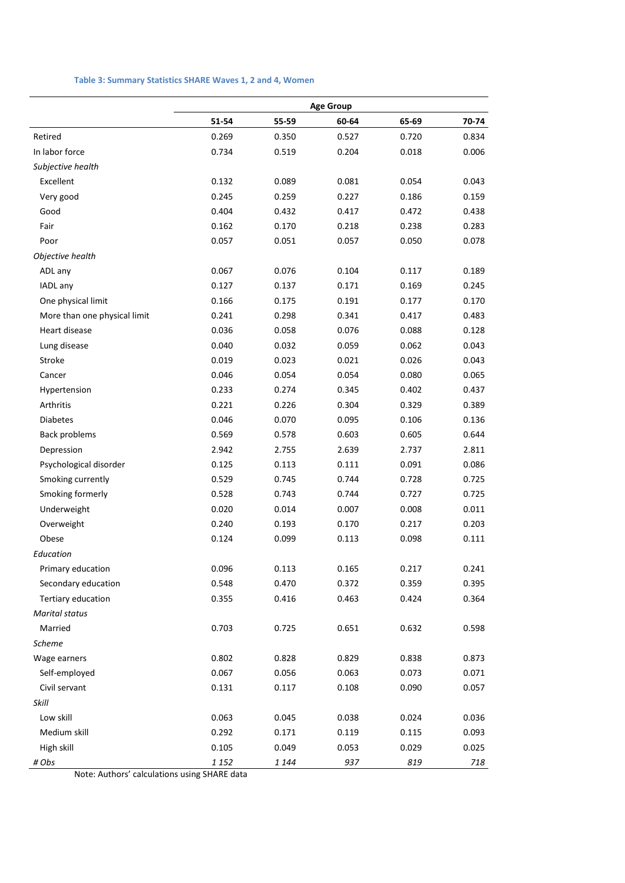#### **Table 3: Summary Statistics SHARE Waves 1, 2 and 4, Women**

|                              |         |         | <b>Age Group</b> |       |       |
|------------------------------|---------|---------|------------------|-------|-------|
|                              | 51-54   | 55-59   | 60-64            | 65-69 | 70-74 |
| Retired                      | 0.269   | 0.350   | 0.527            | 0.720 | 0.834 |
| In labor force               | 0.734   | 0.519   | 0.204            | 0.018 | 0.006 |
| Subjective health            |         |         |                  |       |       |
| Excellent                    | 0.132   | 0.089   | 0.081            | 0.054 | 0.043 |
| Very good                    | 0.245   | 0.259   | 0.227            | 0.186 | 0.159 |
| Good                         | 0.404   | 0.432   | 0.417            | 0.472 | 0.438 |
| Fair                         | 0.162   | 0.170   | 0.218            | 0.238 | 0.283 |
| Poor                         | 0.057   | 0.051   | 0.057            | 0.050 | 0.078 |
| Objective health             |         |         |                  |       |       |
| ADL any                      | 0.067   | 0.076   | 0.104            | 0.117 | 0.189 |
| IADL any                     | 0.127   | 0.137   | 0.171            | 0.169 | 0.245 |
| One physical limit           | 0.166   | 0.175   | 0.191            | 0.177 | 0.170 |
| More than one physical limit | 0.241   | 0.298   | 0.341            | 0.417 | 0.483 |
| Heart disease                | 0.036   | 0.058   | 0.076            | 0.088 | 0.128 |
| Lung disease                 | 0.040   | 0.032   | 0.059            | 0.062 | 0.043 |
| Stroke                       | 0.019   | 0.023   | 0.021            | 0.026 | 0.043 |
| Cancer                       | 0.046   | 0.054   | 0.054            | 0.080 | 0.065 |
| Hypertension                 | 0.233   | 0.274   | 0.345            | 0.402 | 0.437 |
| Arthritis                    | 0.221   | 0.226   | 0.304            | 0.329 | 0.389 |
| <b>Diabetes</b>              | 0.046   | 0.070   | 0.095            | 0.106 | 0.136 |
| <b>Back problems</b>         | 0.569   | 0.578   | 0.603            | 0.605 | 0.644 |
| Depression                   | 2.942   | 2.755   | 2.639            | 2.737 | 2.811 |
| Psychological disorder       | 0.125   | 0.113   | 0.111            | 0.091 | 0.086 |
| Smoking currently            | 0.529   | 0.745   | 0.744            | 0.728 | 0.725 |
| Smoking formerly             | 0.528   | 0.743   | 0.744            | 0.727 | 0.725 |
| Underweight                  | 0.020   | 0.014   | 0.007            | 0.008 | 0.011 |
| Overweight                   | 0.240   | 0.193   | 0.170            | 0.217 | 0.203 |
| Obese                        | 0.124   | 0.099   | 0.113            | 0.098 | 0.111 |
| Education                    |         |         |                  |       |       |
| Primary education            | 0.096   | 0.113   | 0.165            | 0.217 | 0.241 |
| Secondary education          | 0.548   | 0.470   | 0.372            | 0.359 | 0.395 |
| Tertiary education           | 0.355   | 0.416   | 0.463            | 0.424 | 0.364 |
| <b>Marital status</b>        |         |         |                  |       |       |
| Married                      | 0.703   | 0.725   | 0.651            | 0.632 | 0.598 |
| <b>Scheme</b>                |         |         |                  |       |       |
| Wage earners                 | 0.802   | 0.828   | 0.829            | 0.838 | 0.873 |
| Self-employed                | 0.067   | 0.056   | 0.063            | 0.073 | 0.071 |
| Civil servant                | 0.131   | 0.117   | 0.108            | 0.090 | 0.057 |
| Skill                        |         |         |                  |       |       |
| Low skill                    | 0.063   | 0.045   | 0.038            | 0.024 | 0.036 |
| Medium skill                 | 0.292   | 0.171   | 0.119            | 0.115 | 0.093 |
| High skill                   | 0.105   | 0.049   | 0.053            | 0.029 | 0.025 |
| # Obs                        | 1 1 5 2 | 1 1 4 4 | 937              | 819   | 718   |

Note: Authors' calculations using SHARE data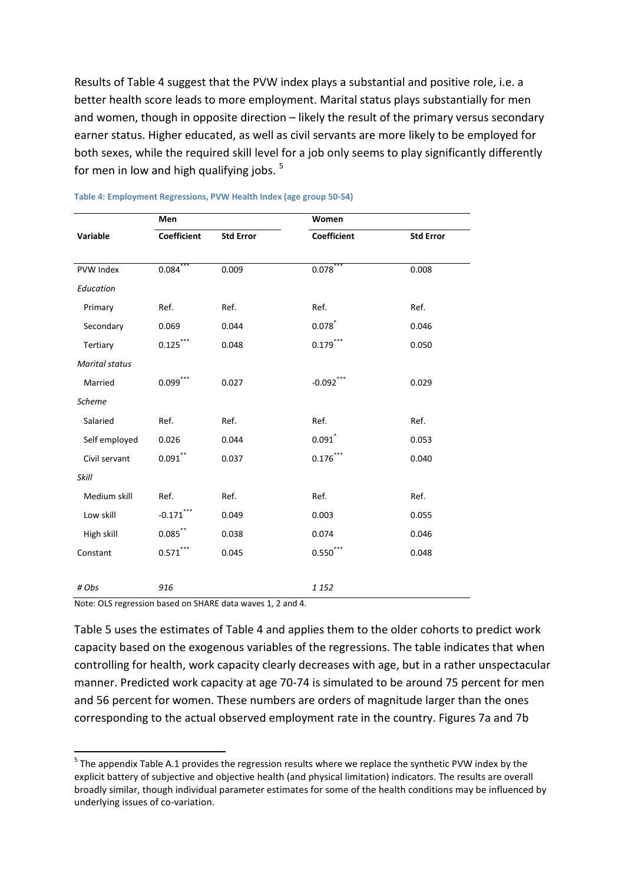Results of Table 4 suggest that the PVW index plays a substantial and positive role, i.e. a better health score leads to more employment. Marital status plays substantially for men and women, though in opposite direction – likely the result of the primary versus secondary earner status. Higher educated, as well as civil servants are more likely to be employed for both sexes, while the required skill level for a job only seems to play significantly differently for men in low and high qualifying jobs.  $5$ 

|                       | Men                  |                  | Women                  |                  |  |  |
|-----------------------|----------------------|------------------|------------------------|------------------|--|--|
| Variable              | Coefficient          | <b>Std Error</b> | Coefficient            | <b>Std Error</b> |  |  |
|                       |                      |                  |                        |                  |  |  |
| PVW Index             | 0.084                | 0.009            | 0.078                  | 0.008            |  |  |
| Education             |                      |                  |                        |                  |  |  |
| Primary               | Ref.                 | Ref.             | Ref.                   | Ref.             |  |  |
| Secondary             | 0.069                | 0.044            | 0.078                  | 0.046            |  |  |
| Tertiary              | $0.125$ **           | 0.048            | $0.179$ **             | 0.050            |  |  |
| <b>Marital status</b> |                      |                  |                        |                  |  |  |
| Married               | $0.099$ <sup>*</sup> | 0.027            | $-0.092$ <sup>**</sup> | 0.029            |  |  |
| <b>Scheme</b>         |                      |                  |                        |                  |  |  |
| Salaried              | Ref.                 | Ref.             | Ref.                   | Ref.             |  |  |
| Self employed         | 0.026                | 0.044            | $0.091$ *              | 0.053            |  |  |
| Civil servant         | $0.091***$           | 0.037            | $0.176$ **             | 0.040            |  |  |
| <b>Skill</b>          |                      |                  |                        |                  |  |  |
| Medium skill          | Ref.                 | Ref.             | Ref.                   | Ref.             |  |  |
| Low skill             | $-0.171$ ***         | 0.049            | 0.003                  | 0.055            |  |  |
| High skill            | $0.085$ **           | 0.038            | 0.074                  | 0.046            |  |  |
| Constant              | 0.571                | 0.045            | 0.550                  | 0.048            |  |  |
|                       |                      |                  |                        |                  |  |  |
| # Obs                 | 916                  |                  | 1 1 5 2                |                  |  |  |

#### **Table 4: Employment Regressions, PVW Health Index (age group 50-54)**

Note: OLS regression based on SHARE data waves 1, 2 and 4.

Table 5 uses the estimates of Table 4 and applies them to the older cohorts to predict work capacity based on the exogenous variables of the regressions. The table indicates that when controlling for health, work capacity clearly decreases with age, but in a rather unspectacular manner. Predicted work capacity at age 70-74 is simulated to be around 75 percent for men and 56 percent for women. These numbers are orders of magnitude larger than the ones corresponding to the actual observed employment rate in the country. Figures 7a and 7b

<span id="page-14-0"></span><sup>&</sup>lt;sup>5</sup> The appendix Table A.1 provides the regression results where we replace the synthetic PVW index by the explicit battery of subjective and objective health (and physical limitation) indicators. The results are overall broadly similar, though individual parameter estimates for some of the health conditions may be influenced by underlying issues of co-variation.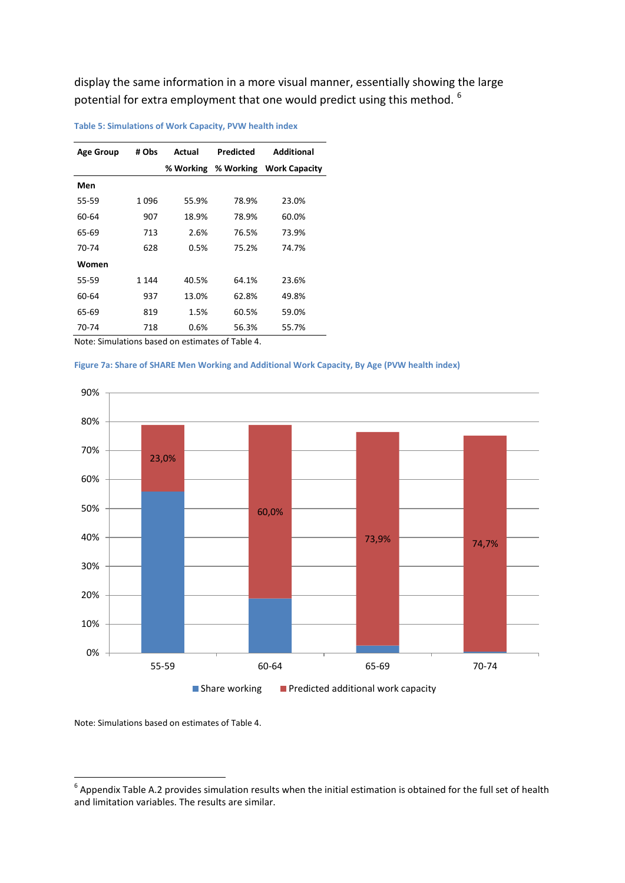display the same information in a more visual manner, essentially showing the large potential for extra employment that one would predict using this method. <sup>[6](#page-14-0)</sup>

| <b>Age Group</b> | # Obs   | Actual    | Predicted | <b>Additional</b>    |
|------------------|---------|-----------|-----------|----------------------|
|                  |         | % Working | % Working | <b>Work Capacity</b> |
| Men              |         |           |           |                      |
| 55-59            | 1096    | 55.9%     | 78.9%     | 23.0%                |
| 60-64            | 907     | 18.9%     | 78.9%     | 60.0%                |
| 65-69            | 713     | 2.6%      | 76.5%     | 73.9%                |
| 70-74            | 628     | 0.5%      | 75.2%     | 74.7%                |
| Women            |         |           |           |                      |
| 55-59            | 1 1 4 4 | 40.5%     | 64.1%     | 23.6%                |
| 60-64            | 937     | 13.0%     | 62.8%     | 49.8%                |
| 65-69            | 819     | 1.5%      | 60.5%     | 59.0%                |
| 70-74            | 718     | 0.6%      | 56.3%     | 55.7%                |

**Table 5: Simulations of Work Capacity, PVW health index**

Note: Simulations based on estimates of Table 4.





<span id="page-15-0"></span>Note: Simulations based on estimates of Table 4.

 $6$  Appendix Table A.2 provides simulation results when the initial estimation is obtained for the full set of health and limitation variables. The results are similar.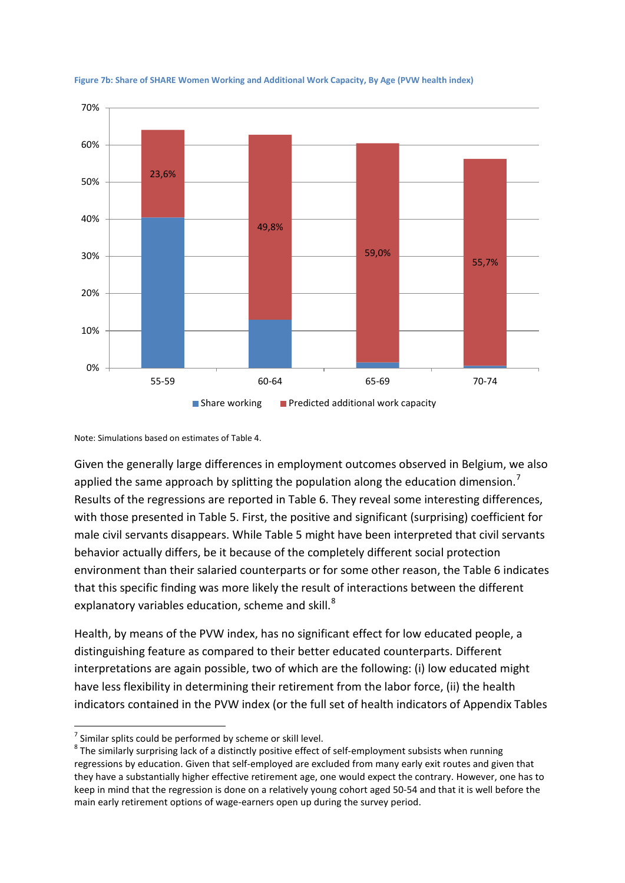

**Figure 7b: Share of SHARE Women Working and Additional Work Capacity, By Age (PVW health index)**

Note: Simulations based on estimates of Table 4.

Given the generally large differences in employment outcomes observed in Belgium, we also applied the same approach by splitting the population along the education dimension.<sup>[7](#page-15-0)</sup> Results of the regressions are reported in Table 6. They reveal some interesting differences, with those presented in Table 5. First, the positive and significant (surprising) coefficient for male civil servants disappears. While Table 5 might have been interpreted that civil servants behavior actually differs, be it because of the completely different social protection environment than their salaried counterparts or for some other reason, the Table 6 indicates that this specific finding was more likely the result of interactions between the different explanatory variables education, scheme and skill. $8$ 

Health, by means of the PVW index, has no significant effect for low educated people, a distinguishing feature as compared to their better educated counterparts. Different interpretations are again possible, two of which are the following: (i) low educated might have less flexibility in determining their retirement from the labor force, (ii) the health indicators contained in the PVW index (or the full set of health indicators of Appendix Tables

<span id="page-16-1"></span>

<span id="page-16-0"></span><sup>&</sup>lt;sup>7</sup> Similar splits could be performed by scheme or skill level.<br><sup>8</sup> The similarly surprising lack of a distinctly positive effect of self-employment subsists when running regressions by education. Given that self-employed are excluded from many early exit routes and given that they have a substantially higher effective retirement age, one would expect the contrary. However, one has to keep in mind that the regression is done on a relatively young cohort aged 50-54 and that it is well before the main early retirement options of wage-earners open up during the survey period.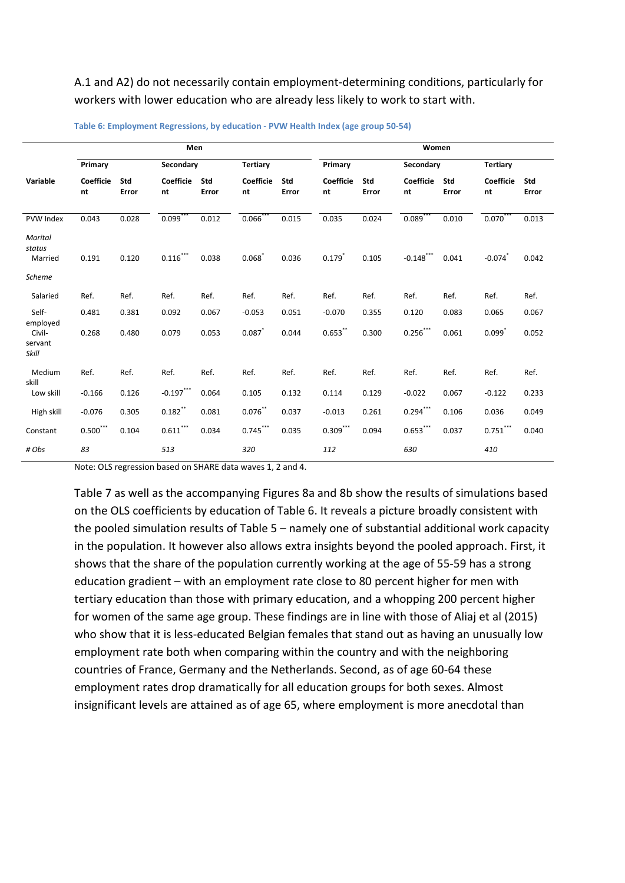A.1 and A2) do not necessarily contain employment-determining conditions, particularly for workers with lower education who are already less likely to work to start with.

|                                               | Men                    |              |                        |              |                 |              | Women                  |              |                 |              |                        |              |
|-----------------------------------------------|------------------------|--------------|------------------------|--------------|-----------------|--------------|------------------------|--------------|-----------------|--------------|------------------------|--------------|
|                                               | Primary                |              | Secondary              |              | <b>Tertiary</b> |              | Primary                |              | Secondary       |              | <b>Tertiary</b>        |              |
| Variable                                      | <b>Coefficie</b><br>nt | Std<br>Error | <b>Coefficie</b><br>nt | Std<br>Error | Coefficie<br>nt | Std<br>Error | <b>Coefficie</b><br>nt | Std<br>Error | Coefficie<br>nt | Std<br>Error | <b>Coefficie</b><br>nt | Std<br>Error |
| PVW Index                                     | 0.043                  | 0.028        | 0.099                  | 0.012        | 0.066           | 0.015        | 0.035                  | 0.024        | 0.089           | 0.010        | 0.070                  | 0.013        |
| Marital<br>status<br>Married<br><b>Scheme</b> | 0.191                  | 0.120        | $0.116$ ***            | 0.038        | 0.068           | 0.036        | 0.179                  | 0.105        | $-0.148$ ***    | 0.041        | $-0.074$ <sup>*</sup>  | 0.042        |
| Salaried                                      | Ref.                   | Ref.         | Ref.                   | Ref.         | Ref.            | Ref.         | Ref.                   | Ref.         | Ref.            | Ref.         | Ref.                   | Ref.         |
| Self-                                         | 0.481                  | 0.381        | 0.092                  | 0.067        | $-0.053$        | 0.051        | $-0.070$               | 0.355        | 0.120           | 0.083        | 0.065                  | 0.067        |
| employed<br>Civil-<br>servant<br>Skill        | 0.268                  | 0.480        | 0.079                  | 0.053        | 0.087           | 0.044        | $0.653$ **             | 0.300        | $0.256***$      | 0.061        | 0.099                  | 0.052        |
| Medium                                        | Ref.                   | Ref.         | Ref.                   | Ref.         | Ref.            | Ref.         | Ref.                   | Ref.         | Ref.            | Ref.         | Ref.                   | Ref.         |
| skill<br>Low skill                            | $-0.166$               | 0.126        | $-0.197***$            | 0.064        | 0.105           | 0.132        | 0.114                  | 0.129        | $-0.022$        | 0.067        | $-0.122$               | 0.233        |
| High skill                                    | $-0.076$               | 0.305        | $0.182$ **             | 0.081        | $0.076$ **      | 0.037        | $-0.013$               | 0.261        | $0.294***$      | 0.106        | 0.036                  | 0.049        |
| Constant                                      | $0.500***$             | 0.104        | $0.611***$             | 0.034        | $0.745***$      | 0.035        | $0.309$ ***            | 0.094        | $0.653***$      | 0.037        | $0.751***$             | 0.040        |
| # Obs                                         | 83                     |              | 513                    |              | 320             |              | 112                    |              | 630             |              | 410                    |              |

**Table 6: Employment Regressions, by education - PVW Health Index (age group 50-54)** 

Note: OLS regression based on SHARE data waves 1, 2 and 4.

Table 7 as well as the accompanying Figures 8a and 8b show the results of simulations based on the OLS coefficients by education of Table 6. It reveals a picture broadly consistent with the pooled simulation results of Table 5 – namely one of substantial additional work capacity in the population. It however also allows extra insights beyond the pooled approach. First, it shows that the share of the population currently working at the age of 55-59 has a strong education gradient – with an employment rate close to 80 percent higher for men with tertiary education than those with primary education, and a whopping 200 percent higher for women of the same age group. These findings are in line with those of Aliaj et al (2015) who show that it is less-educated Belgian females that stand out as having an unusually low employment rate both when comparing within the country and with the neighboring countries of France, Germany and the Netherlands. Second, as of age 60-64 these employment rates drop dramatically for all education groups for both sexes. Almost insignificant levels are attained as of age 65, where employment is more anecdotal than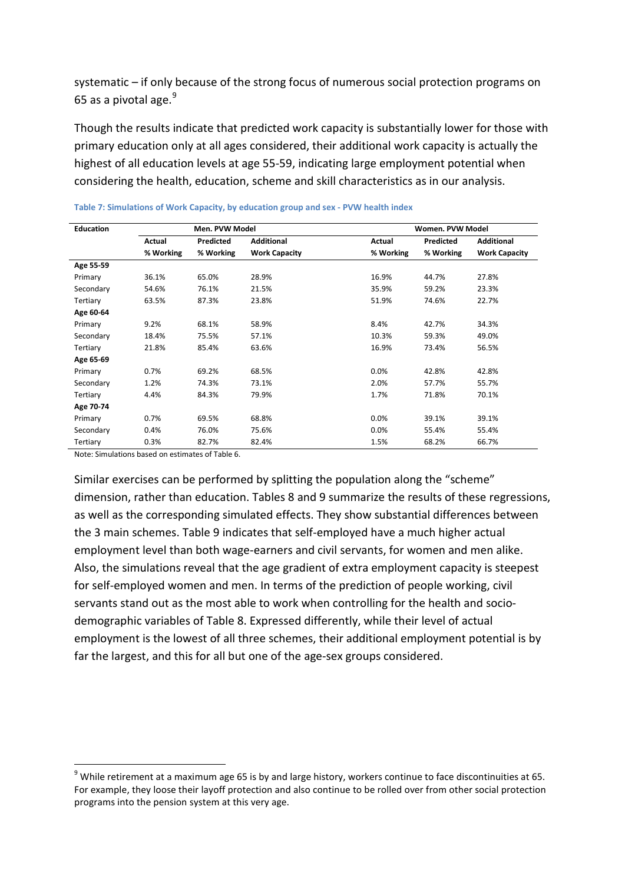systematic – if only because of the strong focus of numerous social protection programs on 65 as a pivotal age. $9$ 

Though the results indicate that predicted work capacity is substantially lower for those with primary education only at all ages considered, their additional work capacity is actually the highest of all education levels at age 55-59, indicating large employment potential when considering the health, education, scheme and skill characteristics as in our analysis.

| <b>Education</b> |           | Men. PVW Model |                      |           | Women. PVW Model |                      |
|------------------|-----------|----------------|----------------------|-----------|------------------|----------------------|
|                  | Actual    | Predicted      | <b>Additional</b>    | Actual    | Predicted        | <b>Additional</b>    |
|                  | % Working | % Working      | <b>Work Capacity</b> | % Working | % Working        | <b>Work Capacity</b> |
| Age 55-59        |           |                |                      |           |                  |                      |
| Primary          | 36.1%     | 65.0%          | 28.9%                | 16.9%     | 44.7%            | 27.8%                |
| Secondary        | 54.6%     | 76.1%          | 21.5%                | 35.9%     | 59.2%            | 23.3%                |
| Tertiary         | 63.5%     | 87.3%          | 23.8%                | 51.9%     | 74.6%            | 22.7%                |
| Age 60-64        |           |                |                      |           |                  |                      |
| Primary          | 9.2%      | 68.1%          | 58.9%                | 8.4%      | 42.7%            | 34.3%                |
| Secondary        | 18.4%     | 75.5%          | 57.1%                | 10.3%     | 59.3%            | 49.0%                |
| Tertiary         | 21.8%     | 85.4%          | 63.6%                | 16.9%     | 73.4%            | 56.5%                |
| Age 65-69        |           |                |                      |           |                  |                      |
| Primary          | 0.7%      | 69.2%          | 68.5%                | 0.0%      | 42.8%            | 42.8%                |
| Secondary        | 1.2%      | 74.3%          | 73.1%                | 2.0%      | 57.7%            | 55.7%                |
| Tertiary         | 4.4%      | 84.3%          | 79.9%                | 1.7%      | 71.8%            | 70.1%                |
| Age 70-74        |           |                |                      |           |                  |                      |
| Primary          | 0.7%      | 69.5%          | 68.8%                | 0.0%      | 39.1%            | 39.1%                |
| Secondary        | 0.4%      | 76.0%          | 75.6%                | 0.0%      | 55.4%            | 55.4%                |
| Tertiary         | 0.3%      | 82.7%          | 82.4%                | 1.5%      | 68.2%            | 66.7%                |

| Table 7: Simulations of Work Capacity, by education group and sex - PVW health index |  |  |  |  |  |
|--------------------------------------------------------------------------------------|--|--|--|--|--|
|                                                                                      |  |  |  |  |  |

Note: Simulations based on estimates of Table 6.

Similar exercises can be performed by splitting the population along the "scheme" dimension, rather than education. Tables 8 and 9 summarize the results of these regressions, as well as the corresponding simulated effects. They show substantial differences between the 3 main schemes. Table 9 indicates that self-employed have a much higher actual employment level than both wage-earners and civil servants, for women and men alike. Also, the simulations reveal that the age gradient of extra employment capacity is steepest for self-employed women and men. In terms of the prediction of people working, civil servants stand out as the most able to work when controlling for the health and sociodemographic variables of Table 8. Expressed differently, while their level of actual employment is the lowest of all three schemes, their additional employment potential is by far the largest, and this for all but one of the age-sex groups considered.

 $9$  While retirement at a maximum age 65 is by and large history, workers continue to face discontinuities at 65. For example, they loose their layoff protection and also continue to be rolled over from other social protection programs into the pension system at this very age.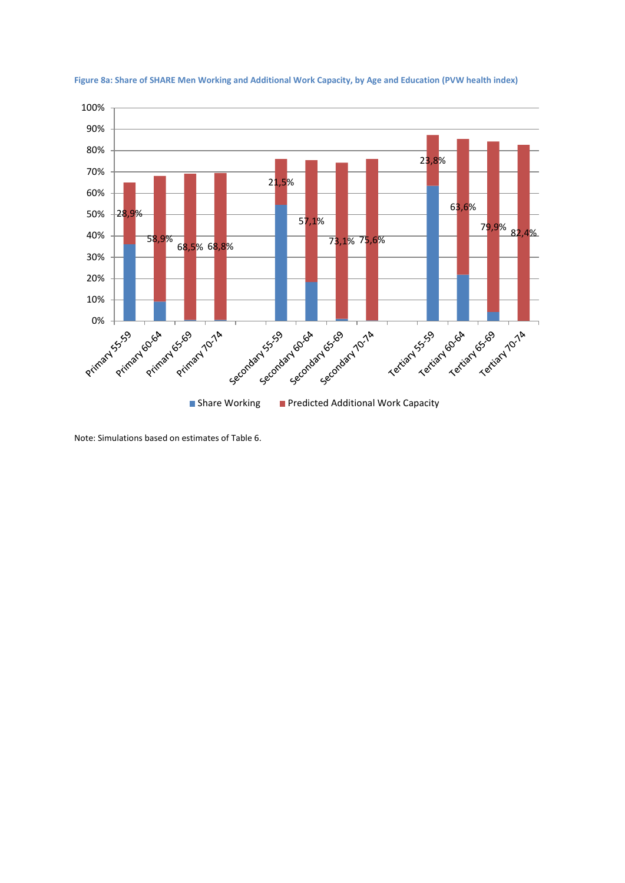

**Figure 8a: Share of SHARE Men Working and Additional Work Capacity, by Age and Education (PVW health index)**

Note: Simulations based on estimates of Table 6.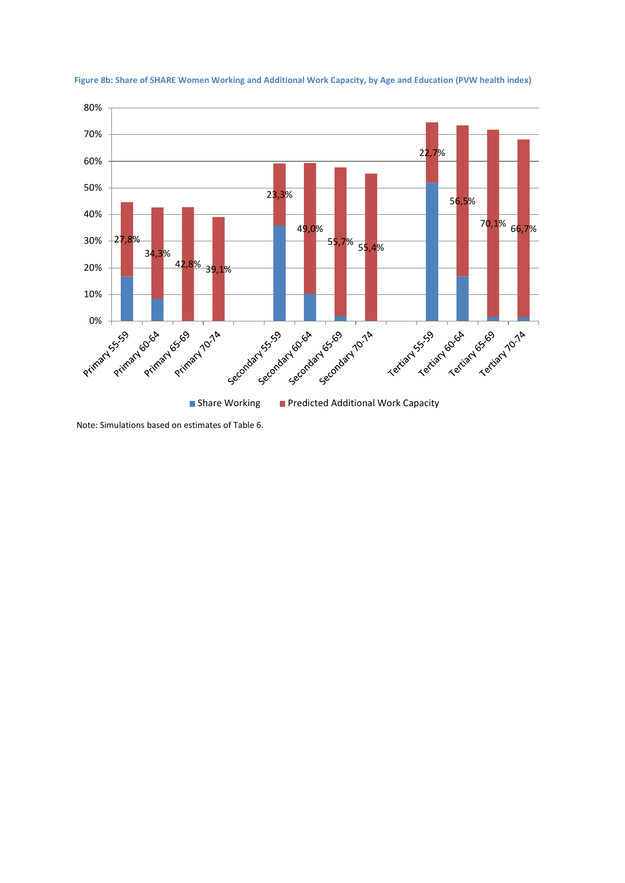

**Figure 8b: Share of SHARE Women Working and Additional Work Capacity, by Age and Education (PVW health index)**

Note: Simulations based on estimates of Table 6.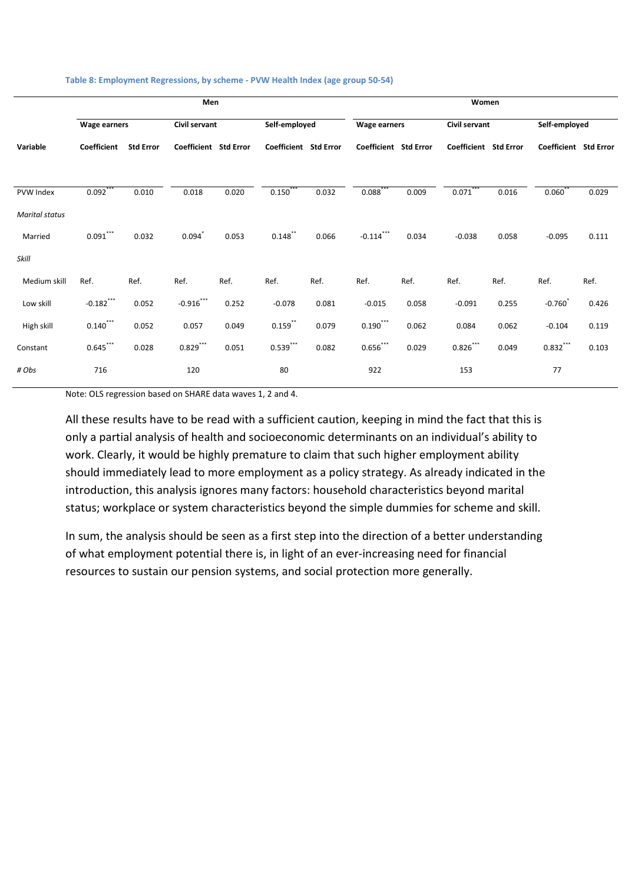|                       | Men                   |                  |                              |       |                       |       | Women                 |       |                       |       |                       |       |
|-----------------------|-----------------------|------------------|------------------------------|-------|-----------------------|-------|-----------------------|-------|-----------------------|-------|-----------------------|-------|
|                       | <b>Wage earners</b>   |                  | Civil servant                |       | Self-employed         |       | <b>Wage earners</b>   |       | Civil servant         |       | Self-employed         |       |
| Variable              | Coefficient           | <b>Std Error</b> | <b>Coefficient Std Error</b> |       | Coefficient Std Error |       | Coefficient Std Error |       | Coefficient Std Error |       | Coefficient Std Error |       |
| PVW Index             | $0.092$ <sup>**</sup> | 0.010            | 0.018                        | 0.020 | 0.150                 | 0.032 | 0.088                 | 0.009 | 0.071                 | 0.016 | 0.060                 | 0.029 |
| <b>Marital status</b> |                       |                  |                              |       |                       |       |                       |       |                       |       |                       |       |
| Married               | $0.091***$            | 0.032            | 0.094                        | 0.053 | $0.148$ **            | 0.066 | $-0.114$ ***          | 0.034 | $-0.038$              | 0.058 | $-0.095$              | 0.111 |
| Skill                 |                       |                  |                              |       |                       |       |                       |       |                       |       |                       |       |
| Medium skill          | Ref.                  | Ref.             | Ref.                         | Ref.  | Ref.                  | Ref.  | Ref.                  | Ref.  | Ref.                  | Ref.  | Ref.                  | Ref.  |
| Low skill             | $-0.182$ ***          | 0.052            | $-0.916$ ***                 | 0.252 | $-0.078$              | 0.081 | $-0.015$              | 0.058 | $-0.091$              | 0.255 | $-0.760$              | 0.426 |
| High skill            | $0.140$ ***           | 0.052            | 0.057                        | 0.049 | $0.159$ **            | 0.079 | $0.190***$            | 0.062 | 0.084                 | 0.062 | $-0.104$              | 0.119 |
| Constant              | $0.645***$            | 0.028            | $0.829***$                   | 0.051 | $0.539***$            | 0.082 | $0.656***$            | 0.029 | $0.826***$            | 0.049 | $0.832***$            | 0.103 |
| # Obs                 | 716                   |                  | 120                          |       | 80                    |       | 922                   |       | 153                   |       | 77                    |       |

#### **Table 8: Employment Regressions, by scheme - PVW Health Index (age group 50-54)**

Note: OLS regression based on SHARE data waves 1, 2 and 4.

All these results have to be read with a sufficient caution, keeping in mind the fact that this is only a partial analysis of health and socioeconomic determinants on an individual's ability to work. Clearly, it would be highly premature to claim that such higher employment ability should immediately lead to more employment as a policy strategy. As already indicated in the introduction, this analysis ignores many factors: household characteristics beyond marital status; workplace or system characteristics beyond the simple dummies for scheme and skill.

In sum, the analysis should be seen as a first step into the direction of a better understanding of what employment potential there is, in light of an ever-increasing need for financial resources to sustain our pension systems, and social protection more generally.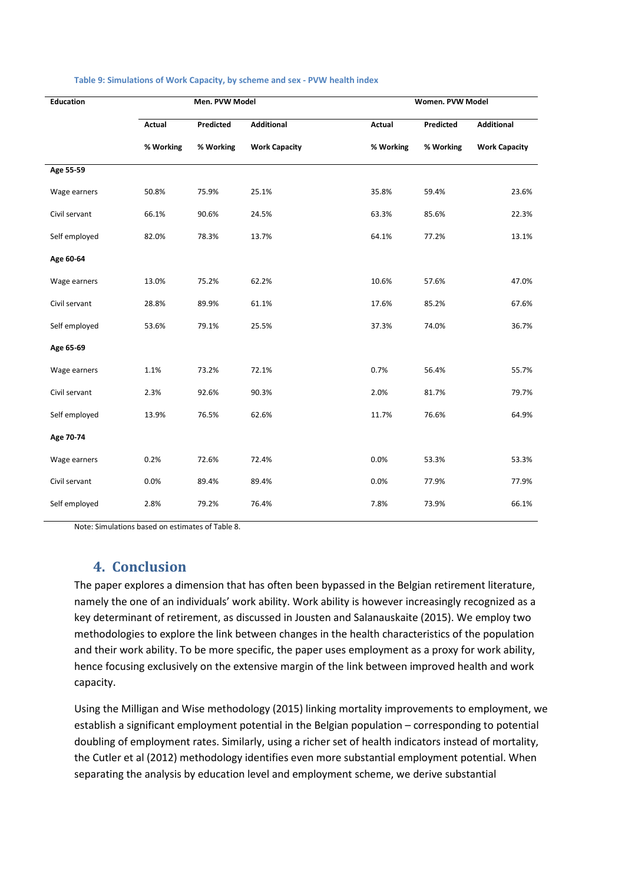| <b>Education</b> |           | Men. PVW Model |                      |           | Women. PVW Model |                      |
|------------------|-----------|----------------|----------------------|-----------|------------------|----------------------|
|                  | Actual    | Predicted      | <b>Additional</b>    | Actual    | Predicted        | Additional           |
|                  | % Working | % Working      | <b>Work Capacity</b> | % Working | % Working        | <b>Work Capacity</b> |
| Age 55-59        |           |                |                      |           |                  |                      |
| Wage earners     | 50.8%     | 75.9%          | 25.1%                | 35.8%     | 59.4%            | 23.6%                |
| Civil servant    | 66.1%     | 90.6%          | 24.5%                | 63.3%     | 85.6%            | 22.3%                |
| Self employed    | 82.0%     | 78.3%          | 13.7%                | 64.1%     | 77.2%            | 13.1%                |
| Age 60-64        |           |                |                      |           |                  |                      |
| Wage earners     | 13.0%     | 75.2%          | 62.2%                | 10.6%     | 57.6%            | 47.0%                |
| Civil servant    | 28.8%     | 89.9%          | 61.1%                | 17.6%     | 85.2%            | 67.6%                |
| Self employed    | 53.6%     | 79.1%          | 25.5%                | 37.3%     | 74.0%            | 36.7%                |
| Age 65-69        |           |                |                      |           |                  |                      |
| Wage earners     | 1.1%      | 73.2%          | 72.1%                | 0.7%      | 56.4%            | 55.7%                |
| Civil servant    | 2.3%      | 92.6%          | 90.3%                | 2.0%      | 81.7%            | 79.7%                |
| Self employed    | 13.9%     | 76.5%          | 62.6%                | 11.7%     | 76.6%            | 64.9%                |
| Age 70-74        |           |                |                      |           |                  |                      |
| Wage earners     | 0.2%      | 72.6%          | 72.4%                | 0.0%      | 53.3%            | 53.3%                |
| Civil servant    | 0.0%      | 89.4%          | 89.4%                | 0.0%      | 77.9%            | 77.9%                |
| Self employed    | 2.8%      | 79.2%          | 76.4%                | 7.8%      | 73.9%            | 66.1%                |

#### **Table 9: Simulations of Work Capacity, by scheme and sex - PVW health index**

Note: Simulations based on estimates of Table 8.

### **4. Conclusion**

The paper explores a dimension that has often been bypassed in the Belgian retirement literature, namely the one of an individuals' work ability. Work ability is however increasingly recognized as a key determinant of retirement, as discussed in Jousten and Salanauskaite (2015). We employ two methodologies to explore the link between changes in the health characteristics of the population and their work ability. To be more specific, the paper uses employment as a proxy for work ability, hence focusing exclusively on the extensive margin of the link between improved health and work capacity.

Using the Milligan and Wise methodology (2015) linking mortality improvements to employment, we establish a significant employment potential in the Belgian population – corresponding to potential doubling of employment rates. Similarly, using a richer set of health indicators instead of mortality, the Cutler et al (2012) methodology identifies even more substantial employment potential. When separating the analysis by education level and employment scheme, we derive substantial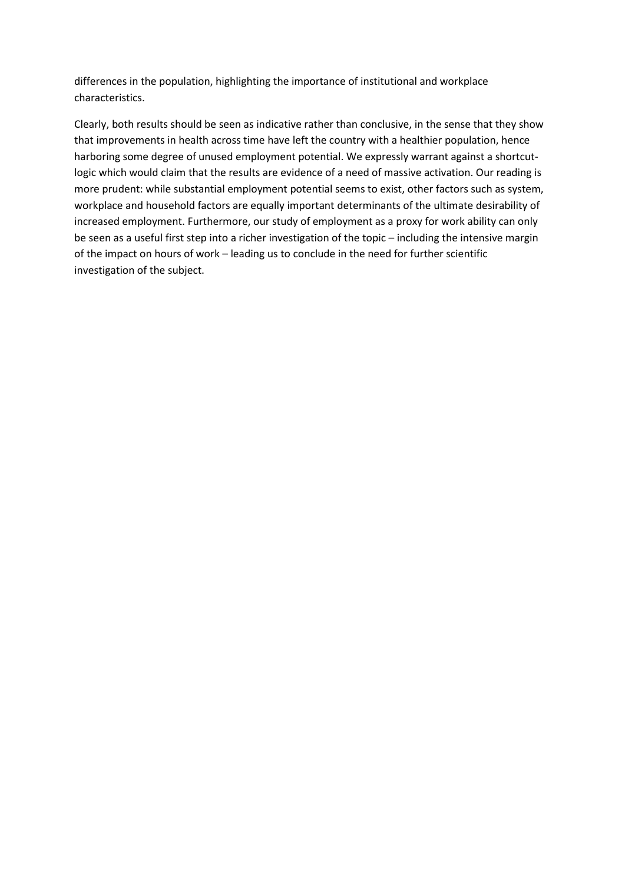differences in the population, highlighting the importance of institutional and workplace characteristics.

Clearly, both results should be seen as indicative rather than conclusive, in the sense that they show that improvements in health across time have left the country with a healthier population, hence harboring some degree of unused employment potential. We expressly warrant against a shortcutlogic which would claim that the results are evidence of a need of massive activation. Our reading is more prudent: while substantial employment potential seems to exist, other factors such as system, workplace and household factors are equally important determinants of the ultimate desirability of increased employment. Furthermore, our study of employment as a proxy for work ability can only be seen as a useful first step into a richer investigation of the topic – including the intensive margin of the impact on hours of work – leading us to conclude in the need for further scientific investigation of the subject.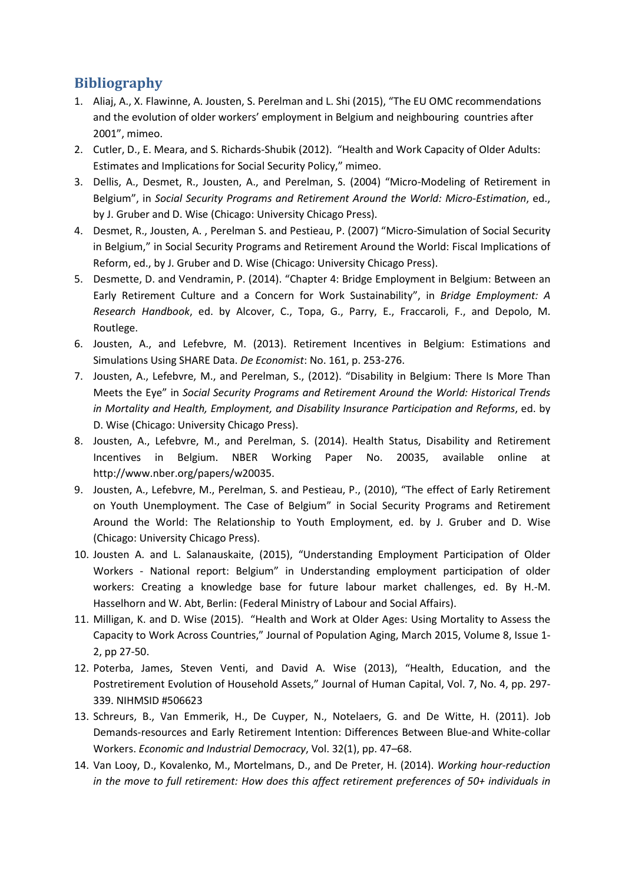# **Bibliography**

- 1. Aliaj, A., X. Flawinne, A. Jousten, S. Perelman and L. Shi (2015), "The EU OMC recommendations and the evolution of older workers' employment in Belgium and neighbouring countries after 2001", mimeo.
- 2. Cutler, D., E. Meara, and S. Richards-Shubik (2012). "Health and Work Capacity of Older Adults: Estimates and Implications for Social Security Policy," mimeo.
- 3. Dellis, A., Desmet, R., Jousten, A., and Perelman, S. (2004) "Micro-Modeling of Retirement in Belgium", in *Social Security Programs and Retirement Around the World: Micro-Estimation*, ed., by J. Gruber and D. Wise (Chicago: University Chicago Press).
- 4. Desmet, R., Jousten, A. , Perelman S. and Pestieau, P. (2007) "Micro-Simulation of Social Security in Belgium," in Social Security Programs and Retirement Around the World: Fiscal Implications of Reform, ed., by J. Gruber and D. Wise (Chicago: University Chicago Press).
- 5. Desmette, D. and Vendramin, P. (2014). "Chapter 4: Bridge Employment in Belgium: Between an Early Retirement Culture and a Concern for Work Sustainability", in *Bridge Employment: A Research Handbook*, ed. by Alcover, C., Topa, G., Parry, E., Fraccaroli, F., and Depolo, M. Routlege.
- 6. Jousten, A., and Lefebvre, M. (2013). Retirement Incentives in Belgium: Estimations and Simulations Using SHARE Data. *De Economist*: No. 161, p. 253-276.
- 7. Jousten, A., Lefebvre, M., and Perelman, S., (2012). "Disability in Belgium: There Is More Than Meets the Eye" in *Social Security Programs and Retirement Around the World: Historical Trends in Mortality and Health, Employment, and Disability Insurance Participation and Reforms*, ed. by D. Wise (Chicago: University Chicago Press).
- 8. Jousten, A., Lefebvre, M., and Perelman, S. (2014). Health Status, Disability and Retirement Incentives in Belgium. NBER Working Paper No. 20035, available online at http://www.nber.org/papers/w20035.
- 9. Jousten, A., Lefebvre, M., Perelman, S. and Pestieau, P., (2010), "The effect of Early Retirement on Youth Unemployment. The Case of Belgium" in Social Security Programs and Retirement Around the World: The Relationship to Youth Employment, ed. by J. Gruber and D. Wise (Chicago: University Chicago Press).
- 10. Jousten A. and L. Salanauskaite, (2015), "Understanding Employment Participation of Older Workers - National report: Belgium" in Understanding employment participation of older workers: Creating a knowledge base for future labour market challenges, ed. By H.-M. Hasselhorn and W. Abt, Berlin: (Federal Ministry of Labour and Social Affairs).
- 11. Milligan, K. and D. Wise (2015). "Health and Work at Older Ages: Using Mortality to Assess the Capacity to Work Across Countries," Journal of Population Aging, March 2015, Volume 8, Issue 1- 2, pp 27-50.
- 12. Poterba, James, Steven Venti, and David A. Wise (2013), "Health, Education, and the Postretirement Evolution of Household Assets," Journal of Human Capital, Vol. 7, No. 4, pp. 297- 339. NIHMSID #506623
- 13. Schreurs, B., Van Emmerik, H., De Cuyper, N., Notelaers, G. and De Witte, H. (2011). Job Demands-resources and Early Retirement Intention: Differences Between Blue-and White-collar Workers. *Economic and Industrial Democracy*, Vol. 32(1), pp. 47–68.
- 14. Van Looy, D., Kovalenko, M., Mortelmans, D., and De Preter, H. (2014). *Working hour-reduction in the move to full retirement: How does this affect retirement preferences of 50+ individuals in*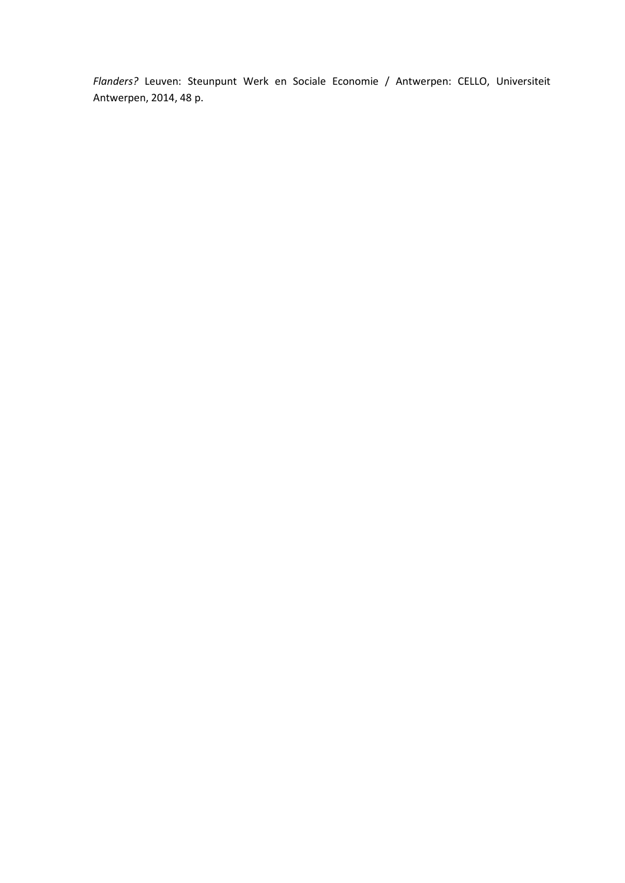*Flanders?* Leuven: Steunpunt Werk en Sociale Economie / Antwerpen: CELLO, Universiteit Antwerpen, 2014, 48 p.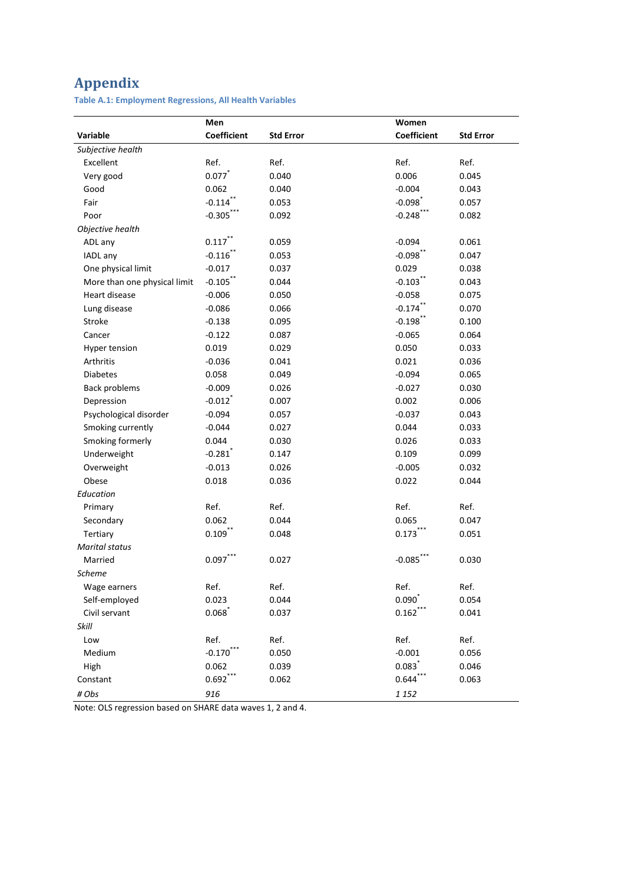# **Appendix**

**Table A.1: Employment Regressions, All Health Variables**

|                              | Men                |                  | Women                |                  |
|------------------------------|--------------------|------------------|----------------------|------------------|
| Variable                     | <b>Coefficient</b> | <b>Std Error</b> | <b>Coefficient</b>   | <b>Std Error</b> |
| Subjective health            |                    |                  |                      |                  |
| Excellent                    | Ref.               | Ref.             | Ref.                 | Ref.             |
| Very good                    | 0.077              | 0.040            | 0.006                | 0.045            |
| Good                         | 0.062              | 0.040            | $-0.004$             | 0.043            |
| Fair                         | $-0.114$ **        | 0.053            | $-0.098$             | 0.057            |
| Poor                         | $-0.305***$        | 0.092            | $-0.248$ **          | 0.082            |
| Objective health             |                    |                  |                      |                  |
| ADL any                      | $0.117$ **         | 0.059            | $-0.094$             | 0.061            |
| IADL any                     | $-0.116$ **        | 0.053            | $-0.098$ **          | 0.047            |
| One physical limit           | $-0.017$           | 0.037            | 0.029                | 0.038            |
| More than one physical limit | $-0.105$ **        | 0.044            | $-0.103$ **          | 0.043            |
| Heart disease                | $-0.006$           | 0.050            | $-0.058$             | 0.075            |
| Lung disease                 | $-0.086$           | 0.066            | $-0.174$             | 0.070            |
| Stroke                       | $-0.138$           | 0.095            | $-0.198$             | 0.100            |
| Cancer                       | $-0.122$           | 0.087            | $-0.065$             | 0.064            |
| Hyper tension                | 0.019              | 0.029            | 0.050                | 0.033            |
| Arthritis                    | $-0.036$           | 0.041            | 0.021                | 0.036            |
| <b>Diabetes</b>              | 0.058              | 0.049            | $-0.094$             | 0.065            |
| <b>Back problems</b>         | $-0.009$           | 0.026            | $-0.027$             | 0.030            |
| Depression                   | $-0.012$           | 0.007            | 0.002                | 0.006            |
| Psychological disorder       | $-0.094$           | 0.057            | $-0.037$             | 0.043            |
| Smoking currently            | $-0.044$           | 0.027            | 0.044                | 0.033            |
| Smoking formerly             | 0.044              | 0.030            | 0.026                | 0.033            |
| Underweight                  | $-0.281$           | 0.147            | 0.109                | 0.099            |
| Overweight                   | $-0.013$           | 0.026            | $-0.005$             | 0.032            |
| Obese                        | 0.018              | 0.036            | 0.022                | 0.044            |
| Education                    |                    |                  |                      |                  |
| Primary                      | Ref.               | Ref.             | Ref.                 | Ref.             |
| Secondary                    | 0.062              | 0.044            | 0.065                | 0.047            |
| Tertiary                     | $0.109$ **         | 0.048            | 0.173                | 0.051            |
| Marital status               |                    |                  |                      |                  |
| Married                      | 0.097              | 0.027            | $-0.085$             | 0.030            |
| <b>Scheme</b>                |                    |                  |                      |                  |
| Wage earners                 | Ref.               | Ref.             | Ref.                 | Ref.             |
| Self-employed                | 0.023              | 0.044            | 0.090                | 0.054            |
| Civil servant                | 0.068              | 0.037            | $0.162***$           | 0.041            |
| Skill                        |                    |                  |                      |                  |
| Low                          | Ref.               | Ref.             | Ref.                 | Ref.             |
| Medium                       | $-0.170$           | 0.050            | $-0.001$             | 0.056            |
| High                         | 0.062              | 0.039            | 0.083                | 0.046            |
| Constant                     | $0.692***$         | 0.062            | $0.644$ <sup>*</sup> | 0.063            |
| # Obs                        | 916                |                  | 1 1 5 2              |                  |

Note: OLS regression based on SHARE data waves 1, 2 and 4.